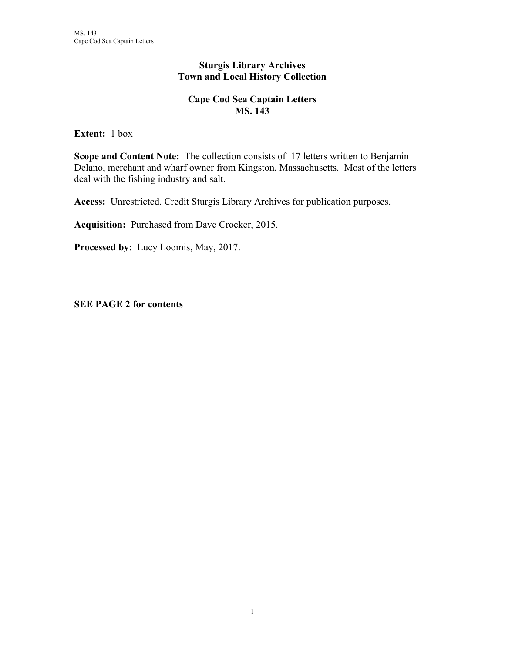## **Sturgis Library Archives Town and Local History Collection**

## **Cape Cod Sea Captain Letters MS. 143**

**Extent:** 1 box

**Scope and Content Note:** The collection consists of 17 letters written to Benjamin Delano, merchant and wharf owner from Kingston, Massachusetts. Most of the letters deal with the fishing industry and salt.

**Access:** Unrestricted. Credit Sturgis Library Archives for publication purposes.

**Acquisition:** Purchased from Dave Crocker, 2015.

**Processed by:** Lucy Loomis, May, 2017.

**SEE PAGE 2 for contents**